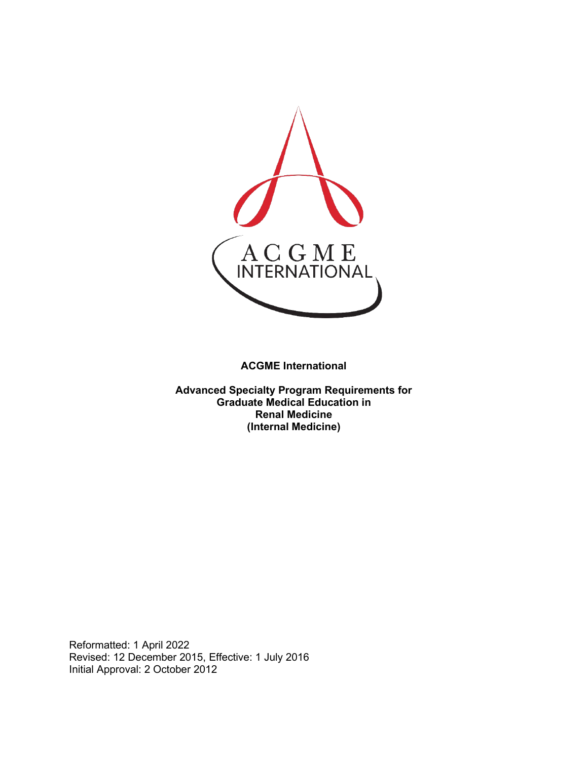

**ACGME International** 

**Advanced Specialty Program Requirements for Graduate Medical Education in Renal Medicine (Internal Medicine)**

Reformatted: 1 April 2022 Revised: 12 December 2015, Effective: 1 July 2016 Initial Approval: 2 October 2012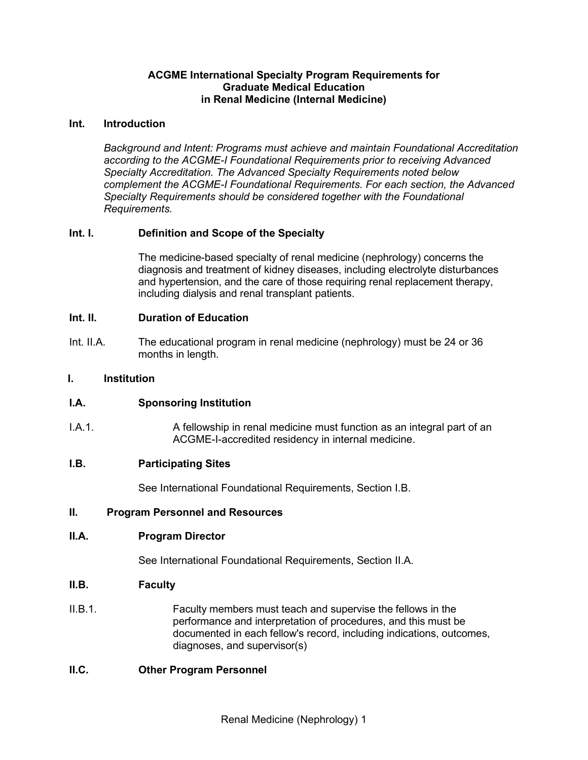### **ACGME International Specialty Program Requirements for Graduate Medical Education in Renal Medicine (Internal Medicine)**

#### **Int. Introduction**

*Background and Intent: Programs must achieve and maintain Foundational Accreditation according to the ACGME-I Foundational Requirements prior to receiving Advanced Specialty Accreditation. The Advanced Specialty Requirements noted below complement the ACGME-I Foundational Requirements. For each section, the Advanced Specialty Requirements should be considered together with the Foundational Requirements.*

## **Int. I. Definition and Scope of the Specialty**

The medicine-based specialty of renal medicine (nephrology) concerns the diagnosis and treatment of kidney diseases, including electrolyte [disturbances](http://en.wikipedia.org/wiki/Electrolyte_disturbance) and [hypertension,](http://en.wikipedia.org/wiki/Hypertension) and the care of those requiring renal [replacement therapy,](http://en.wikipedia.org/wiki/Renal_replacement_therapy) including [dialysis](http://en.wikipedia.org/wiki/Dialysis) and renal [transplant](http://en.wikipedia.org/wiki/Renal_transplant) patients.

### **Int. II. Duration of Education**

Int. II.A. The educational program in renal medicine (nephrology) must be 24 or 36 months in length.

#### **I. Institution**

## **I.A. Sponsoring Institution**

I.A.1. A fellowship in renal medicine must function as an integral part of an ACGME-I-accredited residency in internal medicine.

#### **I.B. Participating Sites**

See International Foundational Requirements, Section I.B.

#### **II. Program Personnel and Resources**

#### **II.A. Program Director**

See International Foundational Requirements, Section II.A.

#### **II.B. Faculty**

II.B.1. Faculty members must teach and supervise the fellows in the performance and interpretation of procedures, and this must be documented in each fellow's record, including indications, outcomes, diagnoses, and supervisor(s)

#### **II.C. Other Program Personnel**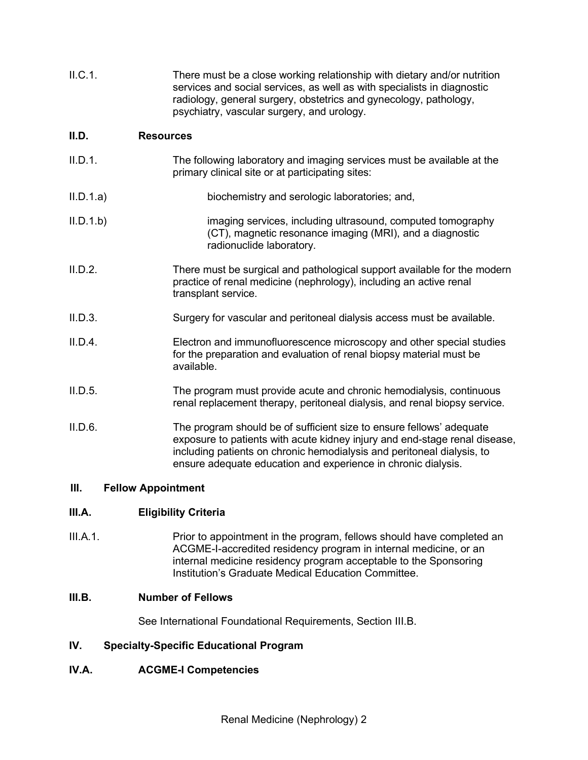| II.C.1. | There must be a close working relationship with dietary and/or nutrition<br>services and social services, as well as with specialists in diagnostic |
|---------|-----------------------------------------------------------------------------------------------------------------------------------------------------|
|         | radiology, general surgery, obstetrics and gynecology, pathology,                                                                                   |
|         | psychiatry, vascular surgery, and urology.                                                                                                          |

#### **II.D. Resources**

| II.D.1.   | The following laboratory and imaging services must be available at the<br>primary clinical site or at participating sites: |
|-----------|----------------------------------------------------------------------------------------------------------------------------|
| II.D.1.a) | biochemistry and serologic laboratories; and,                                                                              |

- II.D.1.b) imaging services, including ultrasound, computed tomography (CT), magnetic resonance imaging (MRI), and a diagnostic radionuclide laboratory.
- II.D.2. There must be surgical and pathological support available for the modern practice of renal medicine (nephrology), including an active renal transplant service.
- II.D.3. Surgery for vascular and peritoneal dialysis access must be available.
- II.D.4. Electron and immunofluorescence microscopy and other special studies for the preparation and evaluation of renal biopsy material must be available.
- II.D.5. The program must provide acute and chronic hemodialysis, continuous renal replacement therapy, peritoneal dialysis, and renal biopsy service.
- II.D.6. The program should be of sufficient size to ensure fellows' adequate exposure to patients with acute kidney injury and end-stage renal disease, including patients on chronic hemodialysis and peritoneal dialysis, to ensure adequate education and experience in chronic dialysis.

## **III. Fellow Appointment**

## **III.A. Eligibility Criteria**

III.A.1. Prior to appointment in the program, fellows should have completed an ACGME-I-accredited residency program in internal medicine, or an internal medicine residency program acceptable to the Sponsoring Institution's Graduate Medical Education Committee.

## **III.B. Number of Fellows**

See International Foundational Requirements, Section III.B.

## **IV. Specialty-Specific Educational Program**

## **IV.A. ACGME-I Competencies**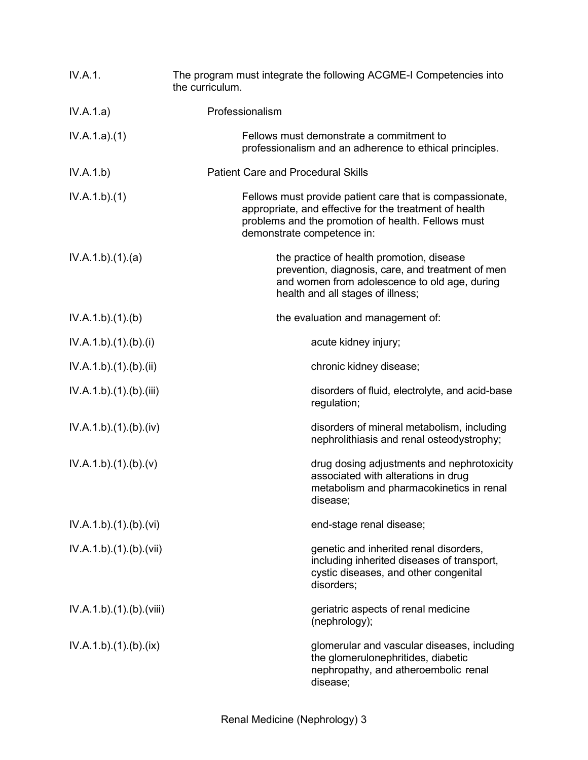| IV.A.1.                  | The program must integrate the following ACGME-I Competencies into<br>the curriculum.                                                                                                                  |
|--------------------------|--------------------------------------------------------------------------------------------------------------------------------------------------------------------------------------------------------|
| IV.A.1.a)                | Professionalism                                                                                                                                                                                        |
| IV.A.1.a)(1)             | Fellows must demonstrate a commitment to<br>professionalism and an adherence to ethical principles.                                                                                                    |
| IV.A.1.b)                | <b>Patient Care and Procedural Skills</b>                                                                                                                                                              |
| IV.A.1.b)(1)             | Fellows must provide patient care that is compassionate,<br>appropriate, and effective for the treatment of health<br>problems and the promotion of health. Fellows must<br>demonstrate competence in: |
| IV.A.1.b)(1)(a)          | the practice of health promotion, disease<br>prevention, diagnosis, care, and treatment of men<br>and women from adolescence to old age, during<br>health and all stages of illness;                   |
| IV.A.1.b)(1)(b)          | the evaluation and management of:                                                                                                                                                                      |
| IV.A.1.b)(1)(b)(i)       | acute kidney injury;                                                                                                                                                                                   |
| IV.A.1.b)(1)(b)(ii)      | chronic kidney disease;                                                                                                                                                                                |
| IV.A.1.b)(1)(b)(iii)     | disorders of fluid, electrolyte, and acid-base<br>regulation;                                                                                                                                          |
| IV.A.1.b)(1)(b)(iv)      | disorders of mineral metabolism, including<br>nephrolithiasis and renal osteodystrophy;                                                                                                                |
| IV.A.1.b)(1)(b)(v)       | drug dosing adjustments and nephrotoxicity<br>associated with alterations in drug<br>metabolism and pharmacokinetics in renal<br>disease;                                                              |
| IV.A.1.b)(1)(b)(vi)      | end-stage renal disease;                                                                                                                                                                               |
| IV.A.1.b) (1) (b) (vii)  | genetic and inherited renal disorders,<br>including inherited diseases of transport,<br>cystic diseases, and other congenital<br>disorders;                                                            |
| IV.A.1.b).(1).(b).(viii) | geriatric aspects of renal medicine<br>(nephrology);                                                                                                                                                   |
| IV.A.1.b)(1)(b)(ix)      | glomerular and vascular diseases, including<br>the glomerulonephritides, diabetic<br>nephropathy, and atheroembolic renal<br>disease;                                                                  |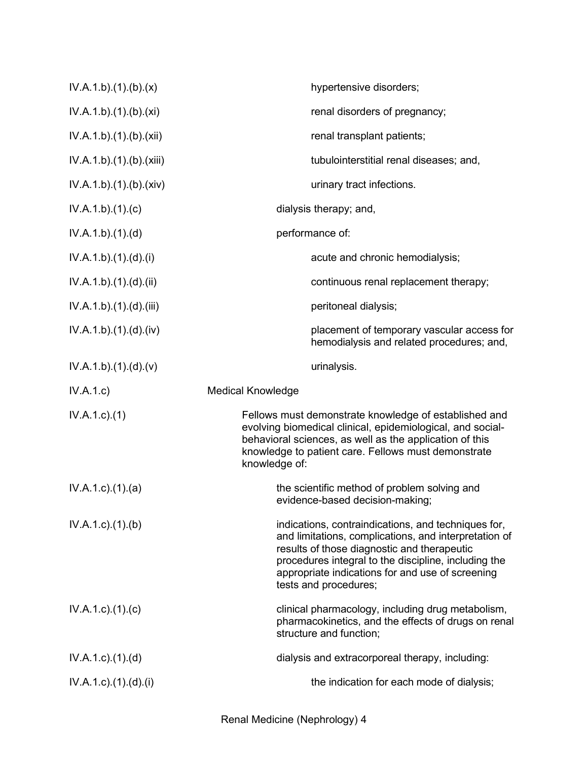| IV.A.1.b)(1)(b)(x)                 | hypertensive disorders;                                                                                                                                                                                                                                                                          |
|------------------------------------|--------------------------------------------------------------------------------------------------------------------------------------------------------------------------------------------------------------------------------------------------------------------------------------------------|
| IV.A.1.b)(1)(b)(xi)                | renal disorders of pregnancy;                                                                                                                                                                                                                                                                    |
| IV.A.1.b).(1).(b).(xii)            | renal transplant patients;                                                                                                                                                                                                                                                                       |
| IV.A.1.b).(1).(b).(xiii)           | tubulointerstitial renal diseases; and,                                                                                                                                                                                                                                                          |
| IV.A.1.b)(1)(b)(xiv)               | urinary tract infections.                                                                                                                                                                                                                                                                        |
| IV.A.1.b)(1)(c)                    | dialysis therapy; and,                                                                                                                                                                                                                                                                           |
| IV.A.1.b)(1)(d)                    | performance of:                                                                                                                                                                                                                                                                                  |
| IV.A.1.b)(1).(d).(i)               | acute and chronic hemodialysis;                                                                                                                                                                                                                                                                  |
| IV.A.1.b)(1)(d)(ii)                | continuous renal replacement therapy;                                                                                                                                                                                                                                                            |
| IV.A.1.b).(1).(d).(iii)            | peritoneal dialysis;                                                                                                                                                                                                                                                                             |
| IV.A.1.b).(1).(d).(iv)             | placement of temporary vascular access for<br>hemodialysis and related procedures; and,                                                                                                                                                                                                          |
| IV.A.1.b).(1).(d).(v)              | urinalysis.                                                                                                                                                                                                                                                                                      |
| IV.A.1.c)                          | <b>Medical Knowledge</b>                                                                                                                                                                                                                                                                         |
| $IV.A.1.c.$ (1)                    | Fellows must demonstrate knowledge of established and<br>evolving biomedical clinical, epidemiological, and social-<br>behavioral sciences, as well as the application of this<br>knowledge to patient care. Fellows must demonstrate<br>knowledge of:                                           |
| $IV.A.1.c$ . $(1).$ $(a)$          | the scientific method of problem solving and<br>evidence-based decision-making;                                                                                                                                                                                                                  |
| $IV.A.1.c$ . $(1).$ (b)            | indications, contraindications, and techniques for,<br>and limitations, complications, and interpretation of<br>results of those diagnostic and therapeutic<br>procedures integral to the discipline, including the<br>appropriate indications for and use of screening<br>tests and procedures; |
| $IV.A.1.c$ . $(1).$ $(c)$          | clinical pharmacology, including drug metabolism,<br>pharmacokinetics, and the effects of drugs on renal<br>structure and function;                                                                                                                                                              |
| $IV.A.1.c$ . $(1).$ $(d)$          | dialysis and extracorporeal therapy, including:                                                                                                                                                                                                                                                  |
| $IV.A.1.c$ ). $(1).$ $(d)$ . $(i)$ | the indication for each mode of dialysis;                                                                                                                                                                                                                                                        |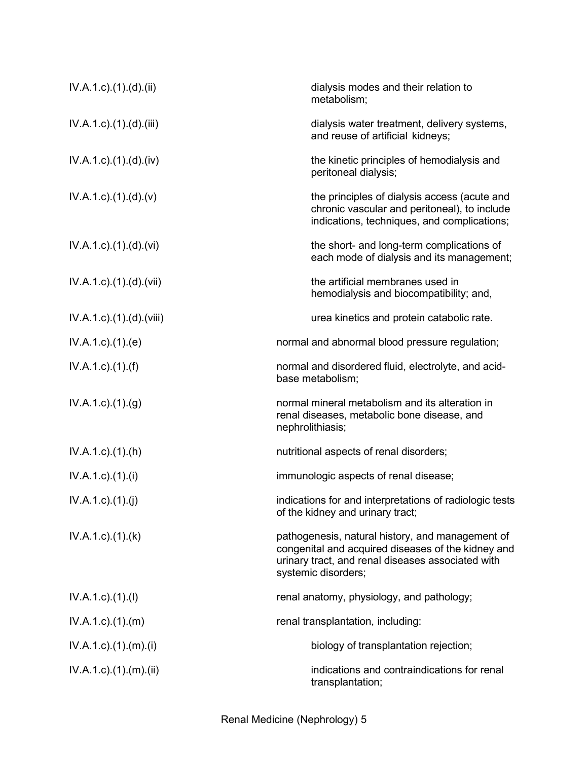| $IV.A.1.c$ . $(1).$ $(d).$ $(ii)$    | dialysis modes and their relation to<br>metabolism;                                                                                                                                |
|--------------------------------------|------------------------------------------------------------------------------------------------------------------------------------------------------------------------------------|
| $IV.A.1.c$ . $(1).$ $(d)$ . $(iii)$  | dialysis water treatment, delivery systems,<br>and reuse of artificial kidneys;                                                                                                    |
| $IV.A.1.c$ . $(1).$ $(d)$ . $(iv)$   | the kinetic principles of hemodialysis and<br>peritoneal dialysis;                                                                                                                 |
| $IV.A.1.c$ . $(1).(d).(v)$           | the principles of dialysis access (acute and<br>chronic vascular and peritoneal), to include<br>indications, techniques, and complications;                                        |
| $IV.A.1.c$ . $(1).$ $(d)$ . $(vi)$   | the short- and long-term complications of<br>each mode of dialysis and its management;                                                                                             |
| IV.A.1.c).(1).(d).(vii)              | the artificial membranes used in<br>hemodialysis and biocompatibility; and,                                                                                                        |
| $IV.A.1.c$ . $(1).$ $(d)$ . $(viii)$ | urea kinetics and protein catabolic rate.                                                                                                                                          |
| IV.A.1.c.1(1).(e)                    | normal and abnormal blood pressure regulation;                                                                                                                                     |
| $IV.A.1.c$ ). $(1).(f)$              | normal and disordered fluid, electrolyte, and acid-<br>base metabolism;                                                                                                            |
| IV.A.1.c.1(1). <sub>(g)</sub>        | normal mineral metabolism and its alteration in<br>renal diseases, metabolic bone disease, and<br>nephrolithiasis;                                                                 |
| $IV.A.1.c$ . $(1).(h)$               | nutritional aspects of renal disorders;                                                                                                                                            |
| $IV.A.1.c$ ). $(1).$                 | immunologic aspects of renal disease;                                                                                                                                              |
| $IV.A.1.c.$ (1).(j)                  | indications for and interpretations of radiologic tests<br>of the kidney and urinary tract;                                                                                        |
| $IV.A.1.c$ . $(1).$ (k)              | pathogenesis, natural history, and management of<br>congenital and acquired diseases of the kidney and<br>urinary tract, and renal diseases associated with<br>systemic disorders; |
| $IV.A.1.c$ ). $(1).$                 | renal anatomy, physiology, and pathology;                                                                                                                                          |
| $IV.A.1.c$ . $(1).$ (m)              | renal transplantation, including:                                                                                                                                                  |
| $IV.A.1.c$ . $(1).$ $(m).$ $(i)$     | biology of transplantation rejection;                                                                                                                                              |
| $IV.A.1.c$ . $(1).$ $(m).$ $(ii)$    | indications and contraindications for renal<br>transplantation;                                                                                                                    |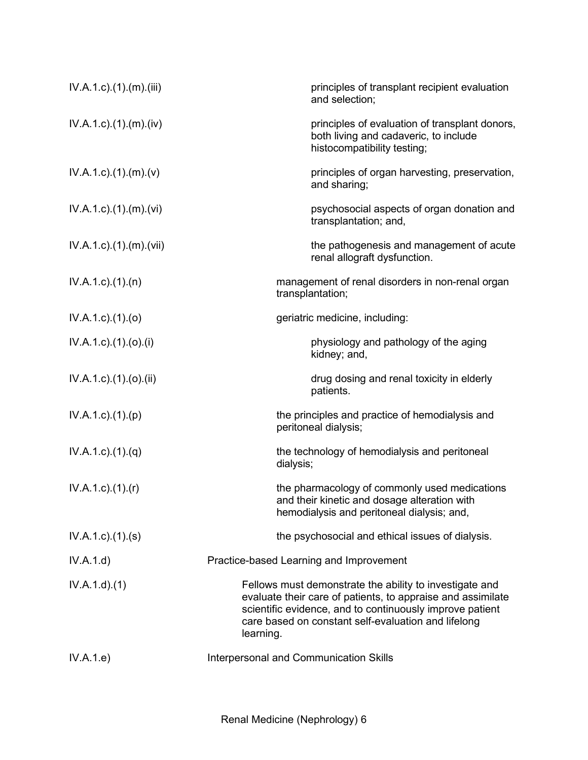| $IV.A.1.c$ . $(1).$ $(m).$ $(iii)$ | principles of transplant recipient evaluation<br>and selection;                                                                                                                                                                                        |
|------------------------------------|--------------------------------------------------------------------------------------------------------------------------------------------------------------------------------------------------------------------------------------------------------|
| $IV.A.1.c$ . $(1).$ $(m).$ $(iv)$  | principles of evaluation of transplant donors,<br>both living and cadaveric, to include<br>histocompatibility testing;                                                                                                                                 |
| $IV.A.1.c$ . $(1).$ $(m).$ $(v)$   | principles of organ harvesting, preservation,<br>and sharing;                                                                                                                                                                                          |
| $IV.A.1.c$ . $(1).$ $(m).$ $(vi)$  | psychosocial aspects of organ donation and<br>transplantation; and,                                                                                                                                                                                    |
| IV.A.1.c) (1) (m) (vii)            | the pathogenesis and management of acute<br>renal allograft dysfunction.                                                                                                                                                                               |
| $IV.A.1.c$ . $(1).$ $(n)$          | management of renal disorders in non-renal organ<br>transplantation;                                                                                                                                                                                   |
| $IV.A.1.c$ . $(1).$ $(o)$          | geriatric medicine, including:                                                                                                                                                                                                                         |
| $IV.A.1.c$ ). $(1).(o).(i)$        | physiology and pathology of the aging<br>kidney; and,                                                                                                                                                                                                  |
| $IV.A.1.c$ ). $(1).(o).(ii)$       | drug dosing and renal toxicity in elderly<br>patients.                                                                                                                                                                                                 |
| $IV.A.1.c$ . $(1).(p)$             | the principles and practice of hemodialysis and<br>peritoneal dialysis;                                                                                                                                                                                |
| $IV.A.1.c$ . $(1).(q)$             | the technology of hemodialysis and peritoneal<br>dialysis;                                                                                                                                                                                             |
| $IV.A.1.c$ ). $(1).$ (r)           | the pharmacology of commonly used medications<br>and their kinetic and dosage alteration with<br>hemodialysis and peritoneal dialysis; and,                                                                                                            |
| $IV.A.1.c$ . $(1).$ (s)            | the psychosocial and ethical issues of dialysis.                                                                                                                                                                                                       |
| IV.A.1.d)                          | Practice-based Learning and Improvement                                                                                                                                                                                                                |
| IV.A.1.d)(1)                       | Fellows must demonstrate the ability to investigate and<br>evaluate their care of patients, to appraise and assimilate<br>scientific evidence, and to continuously improve patient<br>care based on constant self-evaluation and lifelong<br>learning. |
| IV.A.1.e)                          | Interpersonal and Communication Skills                                                                                                                                                                                                                 |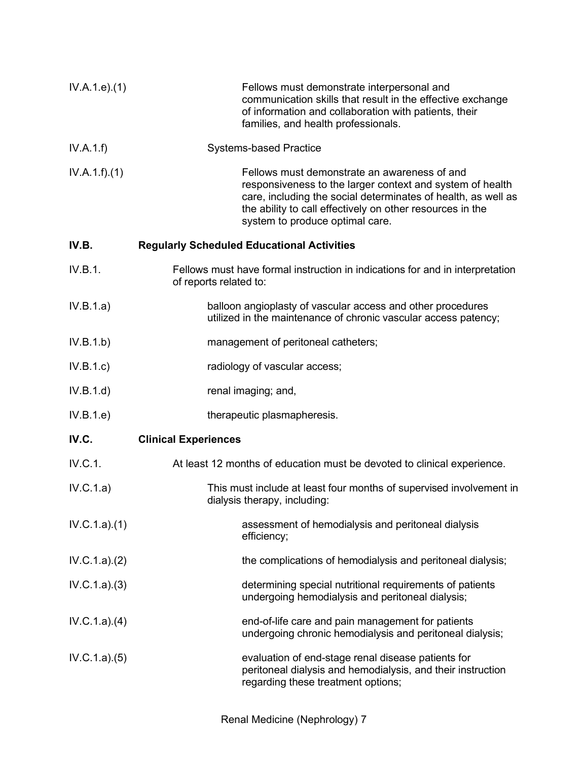| IV.A.1.e. (1) | Fellows must demonstrate interpersonal and<br>communication skills that result in the effective exchange<br>of information and collaboration with patients, their<br>families, and health professionals.                                                                   |
|---------------|----------------------------------------------------------------------------------------------------------------------------------------------------------------------------------------------------------------------------------------------------------------------------|
| IV.A.1.f)     | <b>Systems-based Practice</b>                                                                                                                                                                                                                                              |
| IV.A.1.f)(1)  | Fellows must demonstrate an awareness of and<br>responsiveness to the larger context and system of health<br>care, including the social determinates of health, as well as<br>the ability to call effectively on other resources in the<br>system to produce optimal care. |
| IV.B.         | <b>Regularly Scheduled Educational Activities</b>                                                                                                                                                                                                                          |
| IV.B.1.       | Fellows must have formal instruction in indications for and in interpretation<br>of reports related to:                                                                                                                                                                    |
| IV.B.1.a)     | balloon angioplasty of vascular access and other procedures<br>utilized in the maintenance of chronic vascular access patency;                                                                                                                                             |
| IV.B.1.b)     | management of peritoneal catheters;                                                                                                                                                                                                                                        |
| IV.B.1.c)     | radiology of vascular access;                                                                                                                                                                                                                                              |
| IV.B.1.d)     | renal imaging; and,                                                                                                                                                                                                                                                        |
| IV.B.1.e      | therapeutic plasmapheresis.                                                                                                                                                                                                                                                |
| IV.C.         | <b>Clinical Experiences</b>                                                                                                                                                                                                                                                |
| IV.C.1.       | At least 12 months of education must be devoted to clinical experience.                                                                                                                                                                                                    |
| IV.C.1.a)     | This must include at least four months of supervised involvement in<br>dialysis therapy, including:                                                                                                                                                                        |
| IV.C.1.a)(1)  | assessment of hemodialysis and peritoneal dialysis<br>efficiency;                                                                                                                                                                                                          |
| IV.C.1.a)(2)  | the complications of hemodialysis and peritoneal dialysis;                                                                                                                                                                                                                 |
| IV.C.1.a)(3)  | determining special nutritional requirements of patients<br>undergoing hemodialysis and peritoneal dialysis;                                                                                                                                                               |
| IV.C.1.a)(4)  | end-of-life care and pain management for patients<br>undergoing chronic hemodialysis and peritoneal dialysis;                                                                                                                                                              |
| IV.C.1.a)(5)  | evaluation of end-stage renal disease patients for<br>peritoneal dialysis and hemodialysis, and their instruction<br>regarding these treatment options;                                                                                                                    |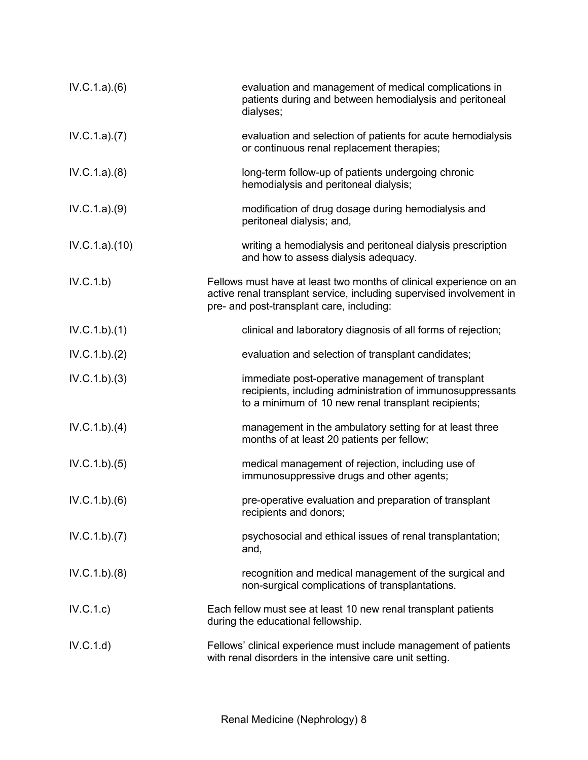| IV.C.1.a)(6)  | evaluation and management of medical complications in<br>patients during and between hemodialysis and peritoneal<br>dialyses;                                                           |
|---------------|-----------------------------------------------------------------------------------------------------------------------------------------------------------------------------------------|
| IV.C.1.a)(7)  | evaluation and selection of patients for acute hemodialysis<br>or continuous renal replacement therapies;                                                                               |
| IV.C.1.a)(8)  | long-term follow-up of patients undergoing chronic<br>hemodialysis and peritoneal dialysis;                                                                                             |
| IV.C.1.a)(9)  | modification of drug dosage during hemodialysis and<br>peritoneal dialysis; and,                                                                                                        |
| IV.C.1.a)(10) | writing a hemodialysis and peritoneal dialysis prescription<br>and how to assess dialysis adequacy.                                                                                     |
| IV.C.1.b)     | Fellows must have at least two months of clinical experience on an<br>active renal transplant service, including supervised involvement in<br>pre- and post-transplant care, including: |
| IV.C.1.b)(1)  | clinical and laboratory diagnosis of all forms of rejection;                                                                                                                            |
| IV.C.1.b)(2)  | evaluation and selection of transplant candidates;                                                                                                                                      |
| IV.C.1.b)(3)  | immediate post-operative management of transplant<br>recipients, including administration of immunosuppressants<br>to a minimum of 10 new renal transplant recipients;                  |
| IV.C.1.b)(4)  | management in the ambulatory setting for at least three<br>months of at least 20 patients per fellow;                                                                                   |
| IV.C.1.b)(5)  | medical management of rejection, including use of<br>immunosuppressive drugs and other agents;                                                                                          |
| IV.C.1.b)(6)  | pre-operative evaluation and preparation of transplant<br>recipients and donors;                                                                                                        |
| IV.C.1.b)(7)  | psychosocial and ethical issues of renal transplantation;<br>and,                                                                                                                       |
| IV.C.1.b)(8)  | recognition and medical management of the surgical and<br>non-surgical complications of transplantations.                                                                               |
| IV.C.1.c)     | Each fellow must see at least 10 new renal transplant patients<br>during the educational fellowship.                                                                                    |
| IV.C.1.d)     | Fellows' clinical experience must include management of patients<br>with renal disorders in the intensive care unit setting.                                                            |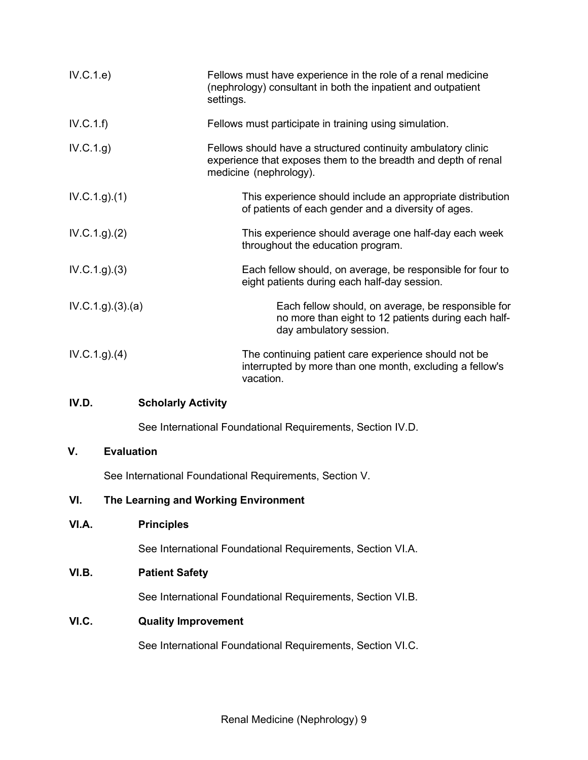| IV.C.1.e)          | Fellows must have experience in the role of a renal medicine<br>(nephrology) consultant in both the inpatient and outpatient<br>settings.                 |
|--------------------|-----------------------------------------------------------------------------------------------------------------------------------------------------------|
| IV.C.1.f)          | Fellows must participate in training using simulation.                                                                                                    |
| IV.C.1.g)          | Fellows should have a structured continuity ambulatory clinic<br>experience that exposes them to the breadth and depth of renal<br>medicine (nephrology). |
| IV.C.1.g. (1)      | This experience should include an appropriate distribution<br>of patients of each gender and a diversity of ages.                                         |
| IV.C.1.g. (2)      | This experience should average one half-day each week<br>throughout the education program.                                                                |
| IV.C.1.g. (3)      | Each fellow should, on average, be responsible for four to<br>eight patients during each half-day session.                                                |
| IV.C.1.g. (3). (a) | Each fellow should, on average, be responsible for<br>no more than eight to 12 patients during each half-<br>day ambulatory session.                      |
| IV.C.1.g. (4)      | The continuing patient care experience should not be<br>interrupted by more than one month, excluding a fellow's<br>vacation.                             |

## **IV.D. Scholarly Activity**

See International Foundational Requirements, Section IV.D.

## **V. Evaluation**

See International Foundational Requirements, Section V.

## **VI. The Learning and Working Environment**

**VI.A. Principles**

See International Foundational Requirements, Section VI.A.

## **VI.B. Patient Safety**

See International Foundational Requirements, Section VI.B.

## **VI.C. Quality Improvement**

See International Foundational Requirements, Section VI.C.